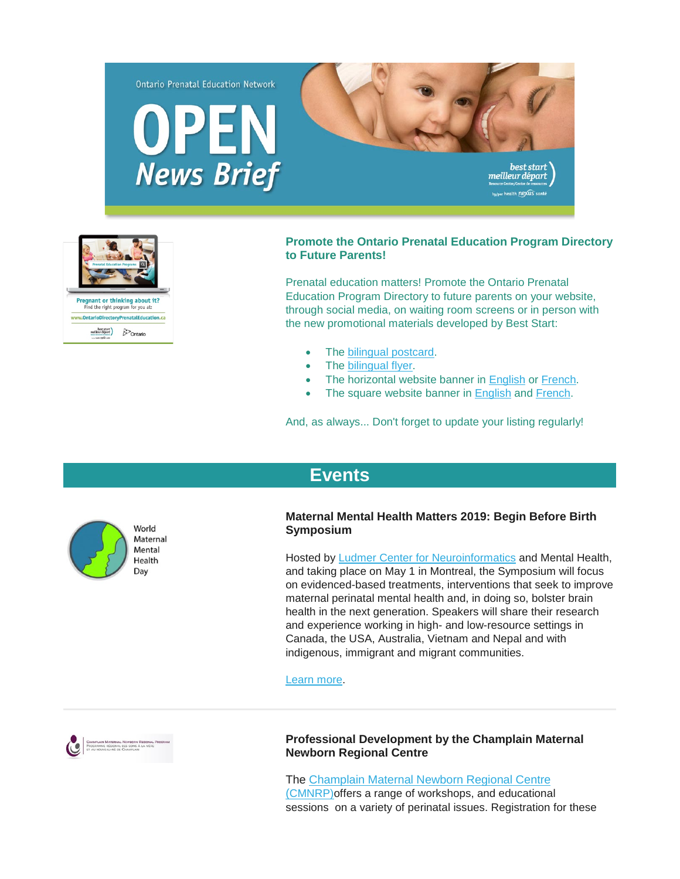



# **Promote the Ontario Prenatal Education Program Directory to Future Parents!**

Prenatal education matters! Promote the Ontario Prenatal Education Program Directory to future parents on your website, through social media, on waiting room screens or in person with the new promotional materials developed by Best Start:

- The [bilingual postcard.](https://www.beststart.org/resources/rep_health/pdf/E44-B_PrenatalEdDirectory_Postcard.pdf)
- The [bilingual flyer.](https://www.beststart.org/resources/rep_health/pdf/E45-B_prenatalEdDirectory_flyer.pdf)
- The horizontal website banner in [English](https://www.beststart.org/resources/rep_health/pdf/E46-E3.jpg) or [French.](https://www.beststart.org/resources/rep_health/pdf/E46-F3.jpg)
- The square website banner in [English](https://www.beststart.org/resources/rep_health/pdf/E46-E2.jpg) and [French.](https://www.beststart.org/resources/rep_health/pdf/E46-F2.jpg)

And, as always... Don't forget to update your listing regularly!



# **[Events](http://)**

# **Maternal Mental Health Matters 2019: Begin Before Birth Symposium**

Hosted by [Ludmer Center for Neuroinformatics](http://ludmercentre.ca/) and Mental Health, and taking place on May 1 in Montreal, the Symposium will focus on evidenced-based treatments, interventions that seek to improve maternal perinatal mental health and, in doing so, bolster brain health in the next generation. Speakers will share their research and experience working in high- and low-resource settings in Canada, the USA, Australia, Vietnam and Nepal and with indigenous, immigrant and migrant communities.

[Learn more.](http://ludmercentre.ca/events/mmhm2019/)



### **Professional Development by the Champlain Maternal Newborn Regional Centre**

The [Champlain Maternal Newborn Regional Centre](http://www.cmnrp.ca/en/cmnrp/Professional_Development_p485.html)  [\(CMNRP\)o](http://www.cmnrp.ca/en/cmnrp/Professional_Development_p485.html)ffers a range of workshops, and educational sessions on a variety of perinatal issues. Registration for these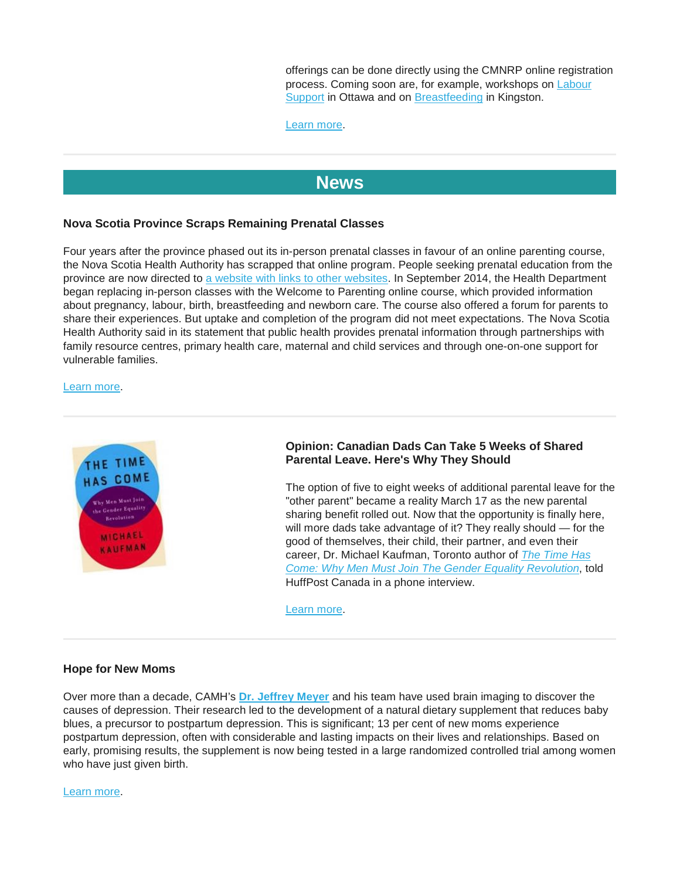offerings can be done directly using the CMNRP online registration process. Coming soon are, for example, workshops on [Labour](https://cmnrp.simplesignup.ca/en/4224/index.php?m=eventSummary)  **[Support](https://cmnrp.simplesignup.ca/en/4224/index.php?m=eventSummary) in Ottawa and on [Breastfeeding](https://cmnrp.us11.list-manage.com/track/click?u=8a441ace1e52ae6e4762ed865&id=8c37cd273d&e=34dfa22874) in Kingston.** 

[Learn more.](https://cmnrp.simplesignup.ca/en/4076/index.php?m=eventsList)

# **[News](http://)**

# **Nova Scotia Province Scraps Remaining Prenatal Classes**

Four years after the province phased out its in-person prenatal classes in favour of an online parenting course, the Nova Scotia Health Authority has scrapped that online program. People seeking prenatal education from the province are now directed to [a website with links to other websites.](https://library.nshealth.ca/PatientEducation/Healthcare) In September 2014, the Health Department began replacing in-person classes with the Welcome to Parenting online course, which provided information about pregnancy, labour, birth, breastfeeding and newborn care. The course also offered a forum for parents to share their experiences. But uptake and completion of the program did not meet expectations. The Nova Scotia Health Authority said in its statement that public health provides prenatal information through partnerships with family resource centres, primary health care, maternal and child services and through one-on-one support for vulnerable families.

#### [Learn more.](https://www.cbc.ca/news/canada/nova-scotia/online-prenatal-classes-cancelled-nova-scotia-1.4971153)



# **Opinion: Canadian Dads Can Take 5 Weeks of Shared Parental Leave. Here's Why They Should**

The option of five to eight weeks of additional parental leave for the "other parent" became a reality March 17 as the new parental sharing benefit rolled out. Now that the opportunity is finally here, will more dads take advantage of it? They really should — for the good of themselves, their child, their partner, and even their career, Dr. Michael Kaufman, Toronto author of *[The Time Has](https://michaelkaufman.com/the-time-has-come/)  [Come: Why Men Must Join The Gender Equality Revolution](https://michaelkaufman.com/the-time-has-come/)*, told HuffPost Canada in a phone interview.

[Learn more.](https://www.huffingtonpost.ca/2019/03/14/new-parental-leave-dads-canada_a_23692448/)

### **Hope for New Moms**

Over more than a decade, CAMH's **[Dr. Jeffrey Meyer](https://www.camh.ca/en/science-and-research/science-and-research-staff-directory/jeffreymeyer)** and his team have used brain imaging to discover the causes of depression. Their research led to the development of a natural dietary supplement that reduces baby blues, a precursor to postpartum depression. This is significant; 13 per cent of new moms experience postpartum depression, often with considerable and lasting impacts on their lives and relationships. Based on early, promising results, the supplement is now being tested in a large randomized controlled trial among women who have just given birth.

[Learn more.](https://www.camh.ca/en/camh-news-and-stories/hope-for-new-moms)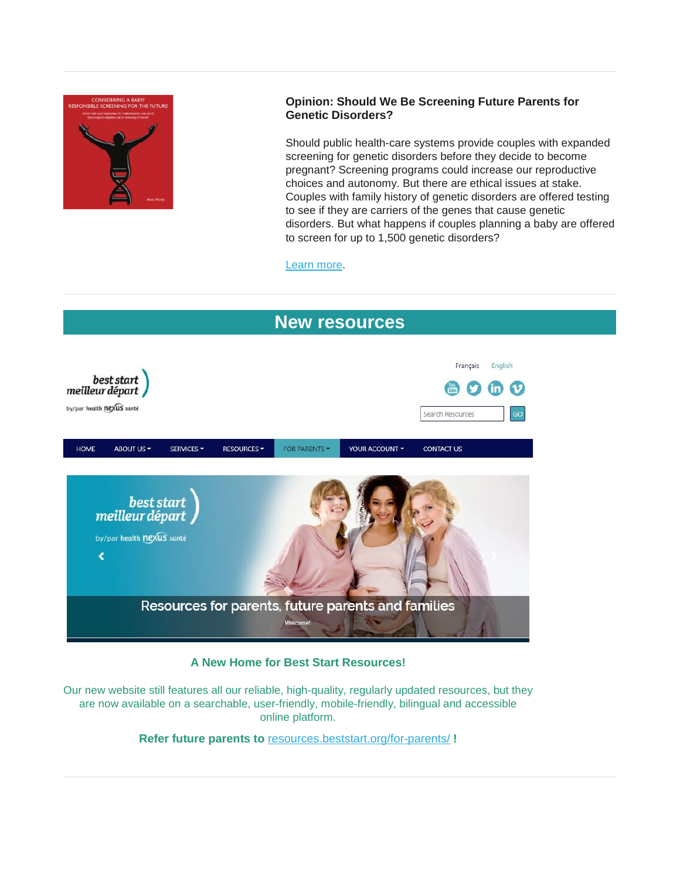

# **Opinion: Should We Be Screening Future Parents for Genetic Disorders?**

Should public health-care systems provide couples with expanded screening for genetic disorders before they decide to become pregnant? Screening programs could increase our reproductive choices and autonomy. But there are ethical issues at stake. Couples with family history of genetic disorders are offered testing to see if they are carriers of the genes that cause genetic disorders. But what happens if couples planning a baby are offered to screen for up to 1,500 genetic disorders?

[Learn more.](https://medicalxpress.com/news/2019-03-screening-future-parents-genetic-disorders.html)



# **A New Home for Best Start Resources!**

Our new website still features all our reliable, high-quality, regularly updated resources, but they are now available on a searchable, user-friendly, mobile-friendly, bilingual and accessible online platform.

**Refer future parents to** [resources.beststart.org/for-parents/](https://resources.beststart.org/for-parents/) **!**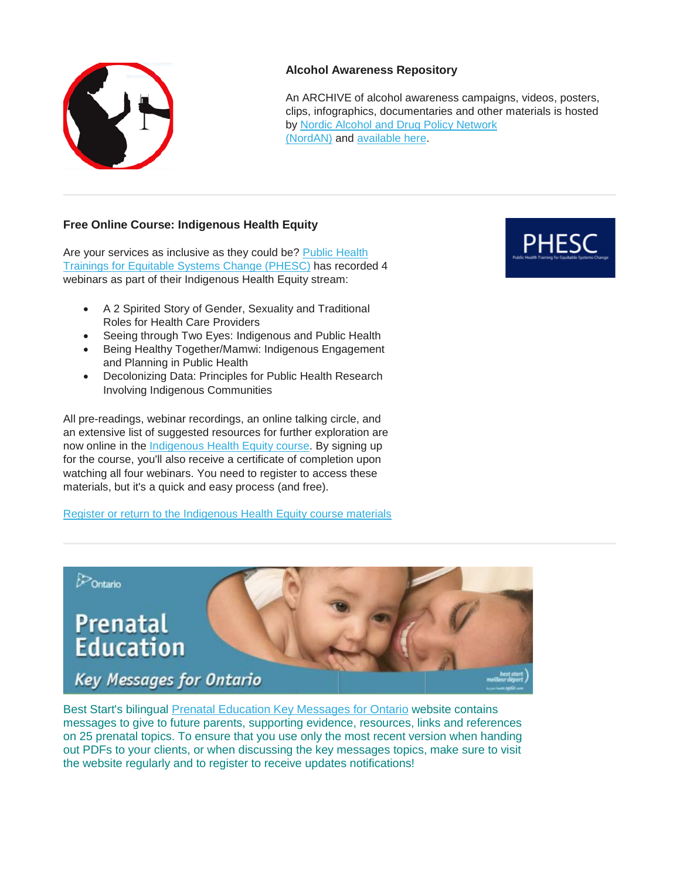

# **Alcohol Awareness Repository**

An ARCHIVE of alcohol awareness campaigns, videos, posters, clips, infographics, documentaries and other materials is hosted by [Nordic Alcohol and Drug Policy Network](http://www.nordan.org/)  [\(NordAN\)](http://www.nordan.org/) and [available here.](https://alcoholcampaign.org/category/fasd/)

# **Free Online Course: Indigenous Health Equity**

Are your services as inclusive as they could be? Public Health [Trainings for Equitable Systems Change \(PHESC\)](https://phesc.ca-central.catalog.canvaslms.com/) has recorded 4 webinars as part of their Indigenous Health Equity stream:

- A 2 Spirited Story of Gender, Sexuality and Traditional Roles for Health Care Providers
- Seeing through Two Eyes: Indigenous and Public Health
- Being Healthy Together/Mamwi: Indigenous Engagement and Planning in Public Health
- Decolonizing Data: Principles for Public Health Research Involving Indigenous Communities

All pre-readings, webinar recordings, an online talking circle, and an extensive list of suggested resources for further exploration are now online in the [Indigenous Health Equity course.](https://phesc.ca-central.catalog.canvaslms.com/courses/indigenous-health-equity) By signing up for the course, you'll also receive a certificate of completion upon watching all four webinars. You need to register to access these materials, but it's a quick and easy process (and free).

[Register or return to the Indigenous Health Equity course materials](https://utoronto.us19.list-manage.com/track/click?u=90989609f245ac5cf3326343a&id=90a913d135&e=361bf32a49)



Contario **Prenatal Education Key Messages for Ontario** 

Best Start's bilingual [Prenatal Education Key Messages for Ontario](http://www.ontarioprenataleducation.ca/) website contains messages to give to future parents, supporting evidence, resources, links and references on 25 prenatal topics. To ensure that you use only the most recent version when handing out PDFs to your clients, or when discussing the key messages topics, make sure to visit the website regularly and to register to receive updates notifications!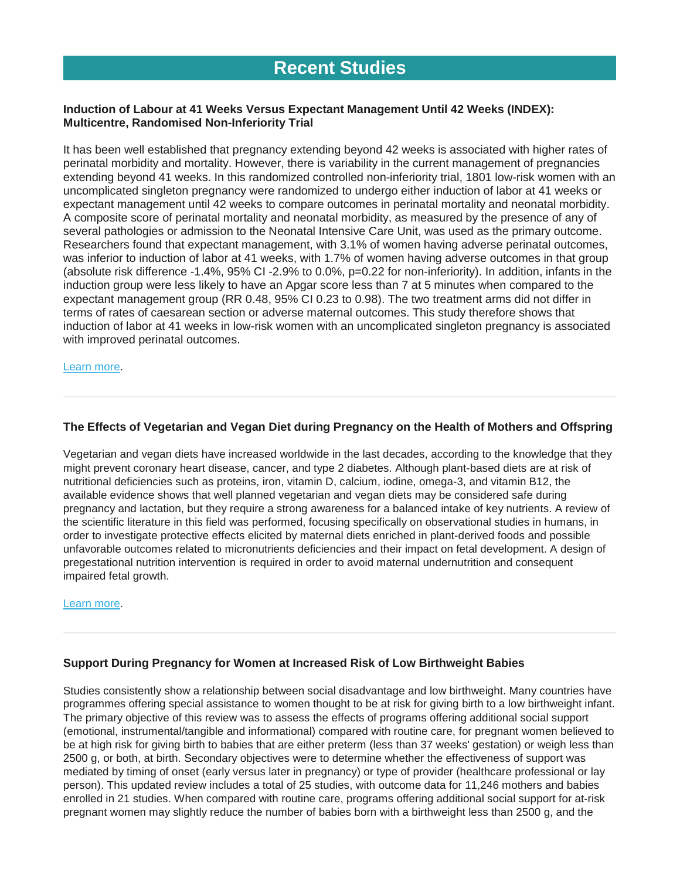# **Induction of Labour at 41 Weeks Versus Expectant Management Until 42 Weeks (INDEX): Multicentre, Randomised Non-Inferiority Trial**

It has been well established that pregnancy extending beyond 42 weeks is associated with higher rates of perinatal morbidity and mortality. However, there is variability in the current management of pregnancies extending beyond 41 weeks. In this randomized controlled non-inferiority trial, 1801 low-risk women with an uncomplicated singleton pregnancy were randomized to undergo either induction of labor at 41 weeks or expectant management until 42 weeks to compare outcomes in perinatal mortality and neonatal morbidity. A composite score of perinatal mortality and neonatal morbidity, as measured by the presence of any of several pathologies or admission to the Neonatal Intensive Care Unit, was used as the primary outcome. Researchers found that expectant management, with 3.1% of women having adverse perinatal outcomes, was inferior to induction of labor at 41 weeks, with 1.7% of women having adverse outcomes in that group (absolute risk difference -1.4%, 95% CI -2.9% to 0.0%, p=0.22 for non-inferiority). In addition, infants in the induction group were less likely to have an Apgar score less than 7 at 5 minutes when compared to the expectant management group (RR 0.48, 95% CI 0.23 to 0.98). The two treatment arms did not differ in terms of rates of caesarean section or adverse maternal outcomes. This study therefore shows that induction of labor at 41 weeks in low-risk women with an uncomplicated singleton pregnancy is associated with improved perinatal outcomes.

#### [Learn more.](https://www.bmj.com/content/364/bmj.l344)

# **The Effects of Vegetarian and Vegan Diet during Pregnancy on the Health of Mothers and Offspring**

Vegetarian and vegan diets have increased worldwide in the last decades, according to the knowledge that they might prevent coronary heart disease, cancer, and type 2 diabetes. Although plant-based diets are at risk of nutritional deficiencies such as proteins, iron, vitamin D, calcium, iodine, omega-3, and vitamin B12, the available evidence shows that well planned vegetarian and vegan diets may be considered safe during pregnancy and lactation, but they require a strong awareness for a balanced intake of key nutrients. A review of the scientific literature in this field was performed, focusing specifically on observational studies in humans, in order to investigate protective effects elicited by maternal diets enriched in plant-derived foods and possible unfavorable outcomes related to micronutrients deficiencies and their impact on fetal development. A design of pregestational nutrition intervention is required in order to avoid maternal undernutrition and consequent impaired fetal growth.

#### [Learn more.](https://www.mdpi.com/2072-6643/11/3/557/htm)

# **Support During Pregnancy for Women at Increased Risk of Low Birthweight Babies**

Studies consistently show a relationship between social disadvantage and low birthweight. Many countries have programmes offering special assistance to women thought to be at risk for giving birth to a low birthweight infant. The primary objective of this review was to assess the effects of programs offering additional social support (emotional, instrumental/tangible and informational) compared with routine care, for pregnant women believed to be at high risk for giving birth to babies that are either preterm (less than 37 weeks' gestation) or weigh less than 2500 g, or both, at birth. Secondary objectives were to determine whether the effectiveness of support was mediated by timing of onset (early versus later in pregnancy) or type of provider (healthcare professional or lay person). This updated review includes a total of 25 studies, with outcome data for 11,246 mothers and babies enrolled in 21 studies. When compared with routine care, programs offering additional social support for at‐risk pregnant women may slightly reduce the number of babies born with a birthweight less than 2500 g, and the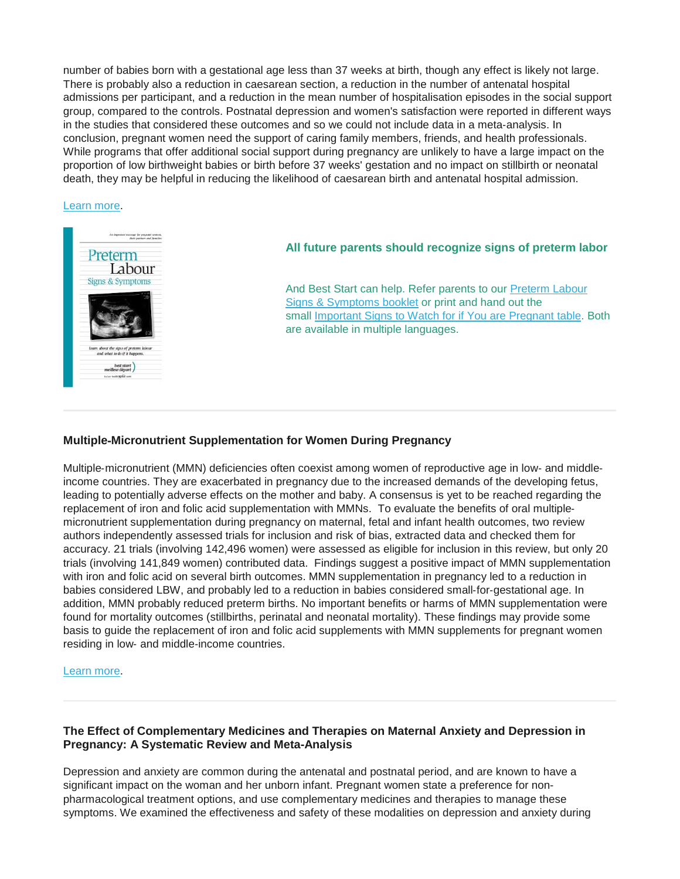number of babies born with a gestational age less than 37 weeks at birth, though any effect is likely not large. There is probably also a reduction in caesarean section, a reduction in the number of antenatal hospital admissions per participant, and a reduction in the mean number of hospitalisation episodes in the social support group, compared to the controls. Postnatal depression and women's satisfaction were reported in different ways in the studies that considered these outcomes and so we could not include data in a meta‐analysis. In conclusion, pregnant women need the support of caring family members, friends, and health professionals. While programs that offer additional social support during pregnancy are unlikely to have a large impact on the proportion of low birthweight babies or birth before 37 weeks' gestation and no impact on stillbirth or neonatal death, they may be helpful in reducing the likelihood of caesarean birth and antenatal hospital admission.

#### [Learn more.](https://www.cochranelibrary.com/cdsr/doi/10.1002/14651858.CD000198.pub3/full)



### **All future parents should recognize signs of preterm labor**

And Best Start can help. Refer parents to our [Preterm Labour](https://resources.beststart.org/product/e06e-preterm-labour-signs-symptoms-booklet/)  [Signs & Symptoms booklet](https://resources.beststart.org/product/e06e-preterm-labour-signs-symptoms-booklet/) or print and hand out the small [Important Signs to Watch for if You are Pregnant table.](https://resources.beststart.org/product/e08e-important-signs-if-you-are-pregnant-image/) Both are available in multiple languages.

### **Multiple**‐**Micronutrient Supplementation for Women During Pregnancy**

Multiple‐micronutrient (MMN) deficiencies often coexist among women of reproductive age in low‐ and middle‐ income countries. They are exacerbated in pregnancy due to the increased demands of the developing fetus, leading to potentially adverse effects on the mother and baby. A consensus is yet to be reached regarding the replacement of iron and folic acid supplementation with MMNs. To evaluate the benefits of oral multiple‐ micronutrient supplementation during pregnancy on maternal, fetal and infant health outcomes, two review authors independently assessed trials for inclusion and risk of bias, extracted data and checked them for accuracy. 21 trials (involving 142,496 women) were assessed as eligible for inclusion in this review, but only 20 trials (involving 141,849 women) contributed data. Findings suggest a positive impact of MMN supplementation with iron and folic acid on several birth outcomes. MMN supplementation in pregnancy led to a reduction in babies considered LBW, and probably led to a reduction in babies considered small‐for‐gestational age. In addition, MMN probably reduced preterm births. No important benefits or harms of MMN supplementation were found for mortality outcomes (stillbirths, perinatal and neonatal mortality). These findings may provide some basis to guide the replacement of iron and folic acid supplements with MMN supplements for pregnant women residing in low‐ and middle‐income countries.

#### [Learn more.](https://www.cochranelibrary.com/cdsr/doi/10.1002/14651858.CD004905.pub6/full?highlightAbstract=)

### **The Effect of Complementary Medicines and Therapies on Maternal Anxiety and Depression in Pregnancy: A Systematic Review and Meta-Analysis**

Depression and anxiety are common during the antenatal and postnatal period, and are known to have a significant impact on the woman and her unborn infant. Pregnant women state a preference for nonpharmacological treatment options, and use complementary medicines and therapies to manage these symptoms. We examined the effectiveness and safety of these modalities on depression and anxiety during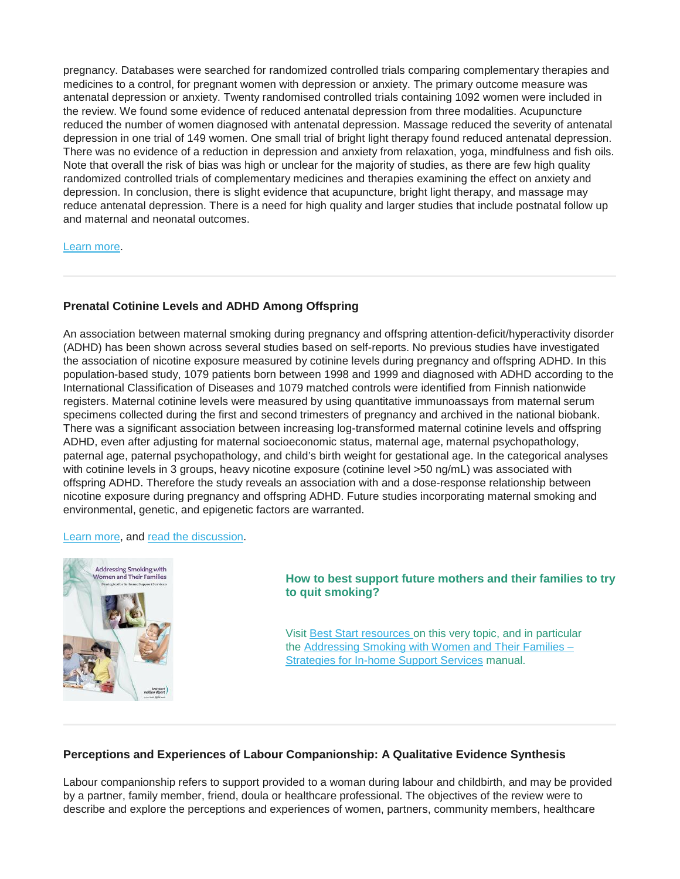pregnancy. Databases were searched for randomized controlled trials comparing complementary therapies and medicines to a control, for pregnant women with depression or anxiety. The primary outcome measure was antenatal depression or anxiety. Twenty randomised controlled trials containing 1092 women were included in the review. We found some evidence of reduced antenatal depression from three modalities. Acupuncture reduced the number of women diagnosed with antenatal depression. Massage reduced the severity of antenatal depression in one trial of 149 women. One small trial of bright light therapy found reduced antenatal depression. There was no evidence of a reduction in depression and anxiety from relaxation, yoga, mindfulness and fish oils. Note that overall the risk of bias was high or unclear for the majority of studies, as there are few high quality randomized controlled trials of complementary medicines and therapies examining the effect on anxiety and depression. In conclusion, there is slight evidence that acupuncture, bright light therapy, and massage may reduce antenatal depression. There is a need for high quality and larger studies that include postnatal follow up and maternal and neonatal outcomes.

#### [Learn more.](https://www.healthevidence.org/view-article.aspx?a=effect-complementary-medicines-therapies-maternal-anxiety-depression-pregnancy-34941)

# **Prenatal Cotinine Levels and ADHD Among Offspring**

An association between maternal smoking during pregnancy and offspring attention-deficit/hyperactivity disorder (ADHD) has been shown across several studies based on self-reports. No previous studies have investigated the association of nicotine exposure measured by cotinine levels during pregnancy and offspring ADHD. In this population-based study, 1079 patients born between 1998 and 1999 and diagnosed with ADHD according to the International Classification of Diseases and 1079 matched controls were identified from Finnish nationwide registers. Maternal cotinine levels were measured by using quantitative immunoassays from maternal serum specimens collected during the first and second trimesters of pregnancy and archived in the national biobank. There was a significant association between increasing log-transformed maternal cotinine levels and offspring ADHD, even after adjusting for maternal socioeconomic status, maternal age, maternal psychopathology, paternal age, paternal psychopathology, and child's birth weight for gestational age. In the categorical analyses with cotinine levels in 3 groups, heavy nicotine exposure (cotinine level >50 ng/mL) was associated with offspring ADHD. Therefore the study reveals an association with and a dose-response relationship between nicotine exposure during pregnancy and offspring ADHD. Future studies incorporating maternal smoking and environmental, genetic, and epigenetic factors are warranted.

### [Learn more,](https://pediatrics.aappublications.org/content/143/3/e20183144?sso=1&sso_redirect_count=1&nfstatus=401&nftoken=00000000-0000-0000-0000-000000000000&nfstatusdescription=ERROR%3a+No+local+token) and [read the discussion.](https://www.reuters.com/article/us-health-pregnancy-smoking-adhd/study-bolsters-link-between-prenatal-nicotine-exposure-and-adhd-idUSKCN1QE28B)



### **How to best support future mothers and their families to try to quit smoking?**

Visit [Best Start resources](https://resources.beststart.org/product-category/resources/tobacco-misuse/) on this very topic, and in particular the [Addressing Smoking with Women and Their Families –](https://resources.beststart.org/product/n12e-addressing-smoking-with-women-and-their-families-manual/) [Strategies for In-home Support Services](https://resources.beststart.org/product/n12e-addressing-smoking-with-women-and-their-families-manual/) manual.

### **Perceptions and Experiences of Labour Companionship: A Qualitative Evidence Synthesis**

Labour companionship refers to support provided to a woman during labour and childbirth, and may be provided by a partner, family member, friend, doula or healthcare professional. The objectives of the review were to describe and explore the perceptions and experiences of women, partners, community members, healthcare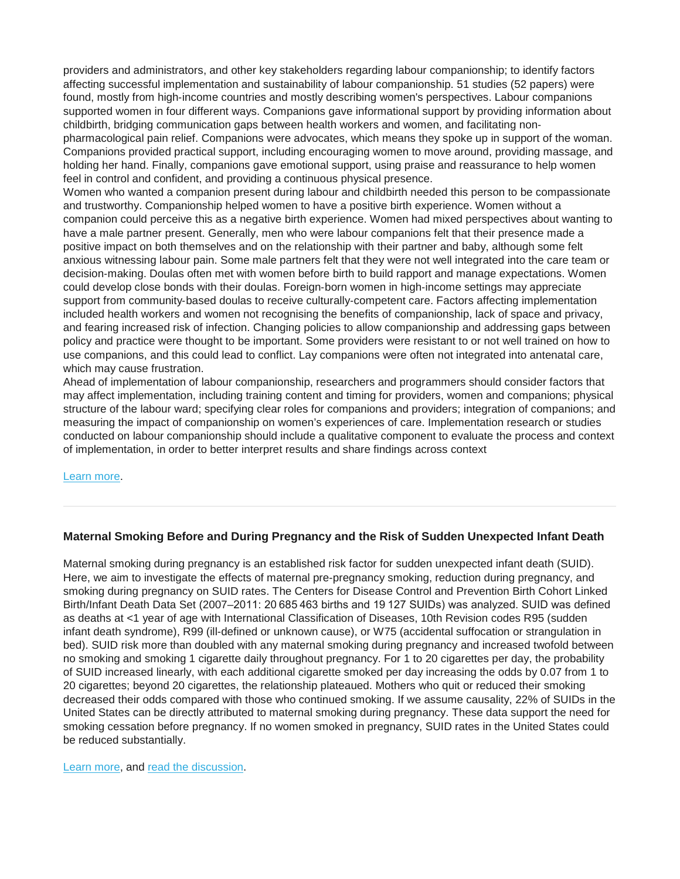providers and administrators, and other key stakeholders regarding labour companionship; to identify factors affecting successful implementation and sustainability of labour companionship. 51 studies (52 papers) were found, mostly from high-income countries and mostly describing women's perspectives. Labour companions supported women in four different ways. Companions gave informational support by providing information about childbirth, bridging communication gaps between health workers and women, and facilitating non‐ pharmacological pain relief. Companions were advocates, which means they spoke up in support of the woman. Companions provided practical support, including encouraging women to move around, providing massage, and holding her hand. Finally, companions gave emotional support, using praise and reassurance to help women feel in control and confident, and providing a continuous physical presence.

Women who wanted a companion present during labour and childbirth needed this person to be compassionate and trustworthy. Companionship helped women to have a positive birth experience. Women without a companion could perceive this as a negative birth experience. Women had mixed perspectives about wanting to have a male partner present. Generally, men who were labour companions felt that their presence made a positive impact on both themselves and on the relationship with their partner and baby, although some felt anxious witnessing labour pain. Some male partners felt that they were not well integrated into the care team or decision‐making. Doulas often met with women before birth to build rapport and manage expectations. Women could develop close bonds with their doulas. Foreign‐born women in high‐income settings may appreciate support from community-based doulas to receive culturally-competent care. Factors affecting implementation included health workers and women not recognising the benefits of companionship, lack of space and privacy, and fearing increased risk of infection. Changing policies to allow companionship and addressing gaps between policy and practice were thought to be important. Some providers were resistant to or not well trained on how to use companions, and this could lead to conflict. Lay companions were often not integrated into antenatal care, which may cause frustration.

Ahead of implementation of labour companionship, researchers and programmers should consider factors that may affect implementation, including training content and timing for providers, women and companions; physical structure of the labour ward; specifying clear roles for companions and providers; integration of companions; and measuring the impact of companionship on women's experiences of care. Implementation research or studies conducted on labour companionship should include a qualitative component to evaluate the process and context of implementation, in order to better interpret results and share findings across context

### [Learn more.](https://www.cochranelibrary.com/cdsr/doi/10.1002/14651858.CD012449.pub2/full?highlightAbstract)

### **Maternal Smoking Before and During Pregnancy and the Risk of Sudden Unexpected Infant Death**

Maternal smoking during pregnancy is an established risk factor for sudden unexpected infant death (SUID). Here, we aim to investigate the effects of maternal pre-pregnancy smoking, reduction during pregnancy, and smoking during pregnancy on SUID rates. The Centers for Disease Control and Prevention Birth Cohort Linked Birth/Infant Death Data Set (2007–2011: 20 685 463 births and 19 127 SUIDs) was analyzed. SUID was defined as deaths at <1 year of age with International Classification of Diseases, 10th Revision codes R95 (sudden infant death syndrome), R99 (ill-defined or unknown cause), or W75 (accidental suffocation or strangulation in bed). SUID risk more than doubled with any maternal smoking during pregnancy and increased twofold between no smoking and smoking 1 cigarette daily throughout pregnancy. For 1 to 20 cigarettes per day, the probability of SUID increased linearly, with each additional cigarette smoked per day increasing the odds by 0.07 from 1 to 20 cigarettes; beyond 20 cigarettes, the relationship plateaued. Mothers who quit or reduced their smoking decreased their odds compared with those who continued smoking. If we assume causality, 22% of SUIDs in the United States can be directly attributed to maternal smoking during pregnancy. These data support the need for smoking cessation before pregnancy. If no women smoked in pregnancy, SUID rates in the United States could be reduced substantially.

#### [Learn more,](https://pediatrics.aappublications.org/content/early/2019/03/07/peds.2018-3325) and [read the discussion.](https://edition.cnn.com/2019/03/11/health/smoking-infant-sudden-death-risk-study/index.html)